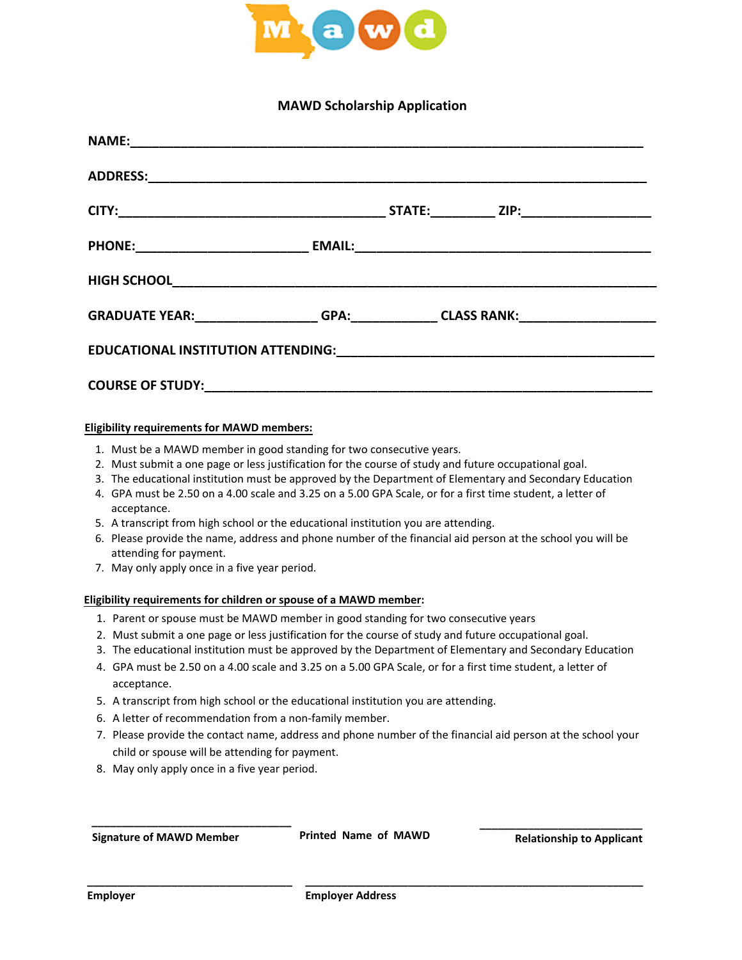

## **MAWD Scholarship Application**

| EDUCATIONAL INSTITUTION ATTENDING: University of the state of the state of the state of the state of the state of the state of the state of the state of the state of the state of the state of the state of the state of the |  |  |  |  |  |  |
|-------------------------------------------------------------------------------------------------------------------------------------------------------------------------------------------------------------------------------|--|--|--|--|--|--|
| <b>COURSE OF STUDY:</b>                                                                                                                                                                                                       |  |  |  |  |  |  |

## **Eligibility requirements for MAWD members:**

- 1. Must be a MAWD member in good standing for two consecutive years.
- 2. Must submit a one page or less justification for the course of study and future occupational goal.
- 3. The educational institution must be approved by the Department of Elementary and Secondary Education
- 4. GPA must be 2.50 on a 4.00 scale and 3.25 on a 5.00 GPA Scale, or for a first time student, a letter of acceptance.
- 5. A transcript from high school or the educational institution you are attending.
- 6. Please provide the name, address and phone number of the financial aid person at the school you will be attending for payment.
- 7. May only apply once in a five year period.

## **Eligibility requirements for children or spouse of a MAWD member:**

- 1. Parent or spouse must be MAWD member in good standing for two consecutive years
- 2. Must submit a one page or less justification for the course of study and future occupational goal.
- 3. The educational institution must be approved by the Department of Elementary and Secondary Education
- 4. GPA must be 2.50 on a 4.00 scale and 3.25 on a 5.00 GPA Scale, or for a first time student, a letter of acceptance.
- 5. A transcript from high school or the educational institution you are attending.
- 6. A letter of recommendation from a non‐family member.
- 7. Please provide the contact name, address and phone number of the financial aid person at the school your child or spouse will be attending for payment.
- 8. May only apply once in a five year period.

**\_\_\_\_\_\_\_\_\_\_\_\_\_\_\_\_\_\_\_\_\_\_\_\_\_\_\_\_\_\_\_\_\_**

**Signature of MAWD Member Printed Name of MAWD**

**\_\_\_\_\_\_\_\_\_\_\_\_\_\_\_\_\_\_\_\_\_\_\_\_\_\_\_\_\_\_\_\_\_\_ \_\_\_\_\_\_\_\_\_\_\_\_\_\_\_\_\_\_\_\_\_\_\_\_\_\_\_\_\_\_\_\_\_\_\_\_\_\_\_\_\_\_\_\_\_\_\_\_\_\_\_\_\_\_\_\_** 

 **Relationship to Applicant**

**\_\_\_\_\_\_\_\_\_\_\_\_\_\_\_\_\_\_\_\_\_\_\_\_\_\_\_**